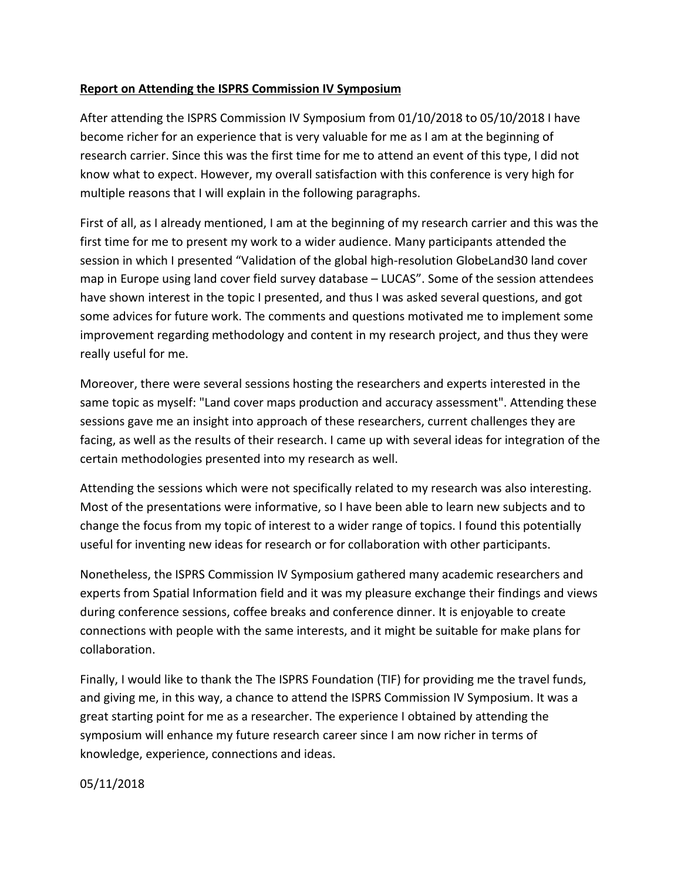## **Report on Attending the ISPRS Commission IV Symposium**

After attending the ISPRS Commission IV Symposium from 01/10/2018 to 05/10/2018 I have become richer for an experience that is very valuable for me as I am at the beginning of research carrier. Since this was the first time for me to attend an event of this type, I did not know what to expect. However, my overall satisfaction with this conference is very high for multiple reasons that I will explain in the following paragraphs.

First of all, as I already mentioned, I am at the beginning of my research carrier and this was the first time for me to present my work to a wider audience. Many participants attended the session in which I presented "Validation of the global high-resolution GlobeLand30 land cover map in Europe using land cover field survey database – LUCAS". Some of the session attendees have shown interest in the topic I presented, and thus I was asked several questions, and got some advices for future work. The comments and questions motivated me to implement some improvement regarding methodology and content in my research project, and thus they were really useful for me.

Moreover, there were several sessions hosting the researchers and experts interested in the same topic as myself: "Land cover maps production and accuracy assessment". Attending these sessions gave me an insight into approach of these researchers, current challenges they are facing, as well as the results of their research. I came up with several ideas for integration of the certain methodologies presented into my research as well.

Attending the sessions which were not specifically related to my research was also interesting. Most of the presentations were informative, so I have been able to learn new subjects and to change the focus from my topic of interest to a wider range of topics. I found this potentially useful for inventing new ideas for research or for collaboration with other participants.

Nonetheless, the ISPRS Commission IV Symposium gathered many academic researchers and experts from Spatial Information field and it was my pleasure exchange their findings and views during conference sessions, coffee breaks and conference dinner. It is enjoyable to create connections with people with the same interests, and it might be suitable for make plans for collaboration.

Finally, I would like to thank the The ISPRS Foundation (TIF) for providing me the travel funds, and giving me, in this way, a chance to attend the ISPRS Commission IV Symposium. It was a great starting point for me as a researcher. The experience I obtained by attending the symposium will enhance my future research career since I am now richer in terms of knowledge, experience, connections and ideas.

05/11/2018